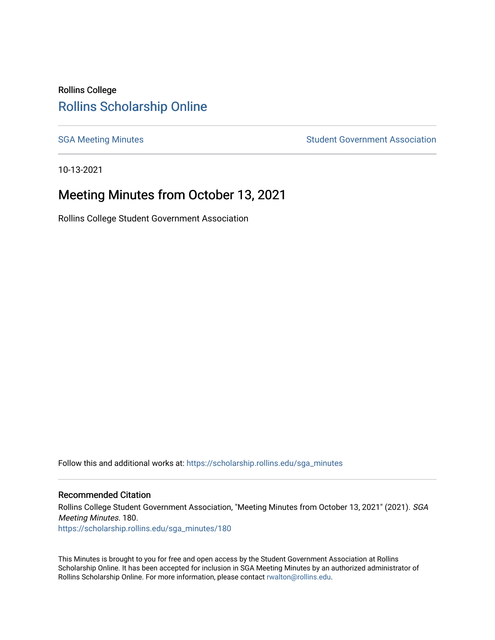# Rollins College [Rollins Scholarship Online](https://scholarship.rollins.edu/)

[SGA Meeting Minutes](https://scholarship.rollins.edu/sga_minutes) **SGA Meeting Minutes** SGA Meeting Minutes **STEER** Student Government Association

10-13-2021

# Meeting Minutes from October 13, 2021

Rollins College Student Government Association

Follow this and additional works at: [https://scholarship.rollins.edu/sga\\_minutes](https://scholarship.rollins.edu/sga_minutes?utm_source=scholarship.rollins.edu%2Fsga_minutes%2F180&utm_medium=PDF&utm_campaign=PDFCoverPages)

#### Recommended Citation

Rollins College Student Government Association, "Meeting Minutes from October 13, 2021" (2021). SGA Meeting Minutes. 180. [https://scholarship.rollins.edu/sga\\_minutes/180](https://scholarship.rollins.edu/sga_minutes/180?utm_source=scholarship.rollins.edu%2Fsga_minutes%2F180&utm_medium=PDF&utm_campaign=PDFCoverPages)

This Minutes is brought to you for free and open access by the Student Government Association at Rollins Scholarship Online. It has been accepted for inclusion in SGA Meeting Minutes by an authorized administrator of Rollins Scholarship Online. For more information, please contact [rwalton@rollins.edu](mailto:rwalton@rollins.edu).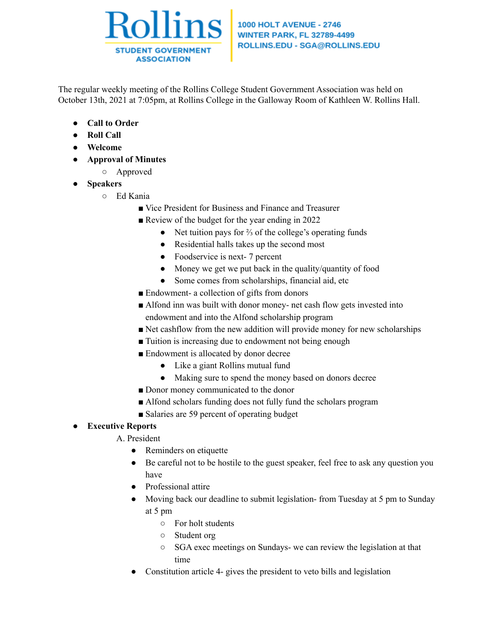

#### **1000 HOLT AVENUE - 2746 WINTER PARK, FL 32789-4499** ROLLINS.EDU - SGA@ROLLINS.EDU

The regular weekly meeting of the Rollins College Student Government Association was held on October 13th, 2021 at 7:05pm, at Rollins College in the Galloway Room of Kathleen W. Rollins Hall.

- **● Call to Order**
- **● Roll Call**
- **● Welcome**
- **● Approval of Minutes**
	- Approved
- **● Speakers**
	- Ed Kania
		- Vice President for Business and Finance and Treasurer
		- Review of the budget for the year ending in 2022
			- Net tuition pays for ⅔ of the college's operating funds
			- Residential halls takes up the second most
			- Foodservice is next- 7 percent
			- Money we get we put back in the quality/quantity of food
			- Some comes from scholarships, financial aid, etc
		- Endowment- a collection of gifts from donors
		- Alfond inn was built with donor money- net cash flow gets invested into endowment and into the Alfond scholarship program
		- Net cashflow from the new addition will provide money for new scholarships
		- Tuition is increasing due to endowment not being enough
		- Endowment is allocated by donor decree
			- Like a giant Rollins mutual fund
			- Making sure to spend the money based on donors decree
		- Donor money communicated to the donor
		- Alfond scholars funding does not fully fund the scholars program
		- Salaries are 59 percent of operating budget

# **● Executive Reports**

- A. President
	- Reminders on etiquette
	- Be careful not to be hostile to the guest speaker, feel free to ask any question you have
	- Professional attire
	- Moving back our deadline to submit legislation- from Tuesday at 5 pm to Sunday at 5 pm
		- For holt students
		- Student org
		- SGA exec meetings on Sundays- we can review the legislation at that time
	- Constitution article 4- gives the president to veto bills and legislation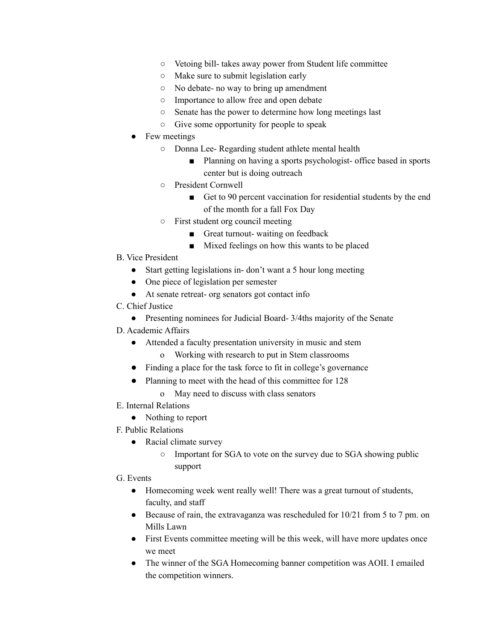- Vetoing bill- takes away power from Student life committee
- Make sure to submit legislation early
- No debate- no way to bring up amendment
- Importance to allow free and open debate
- Senate has the power to determine how long meetings last
- Give some opportunity for people to speak
- Few meetings
	- Donna Lee- Regarding student athlete mental health
		- Planning on having a sports psychologist- office based in sports center but is doing outreach
	- President Cornwell
		- Get to 90 percent vaccination for residential students by the end of the month for a fall Fox Day
	- First student org council meeting
		- Great turnout- waiting on feedback
		- Mixed feelings on how this wants to be placed
- B. Vice President
	- Start getting legislations in-don't want a 5 hour long meeting
	- One piece of legislation per semester
	- At senate retreat- org senators got contact info

### C. Chief Justice

• Presenting nominees for Judicial Board- 3/4ths majority of the Senate

## D. Academic Affairs

- Attended a faculty presentation university in music and stem
	- o Working with research to put in Stem classrooms
- Finding a place for the task force to fit in college's governance
- Planning to meet with the head of this committee for 128
	- o May need to discuss with class senators
- E. Internal Relations
	- Nothing to report
- F. Public Relations
	- Racial climate survey
		- Important for SGA to vote on the survey due to SGA showing public support

#### G. Events

- Homecoming week went really well! There was a great turnout of students, faculty, and staff
- Because of rain, the extravaganza was rescheduled for 10/21 from 5 to 7 pm. on Mills Lawn
- First Events committee meeting will be this week, will have more updates once we meet
- The winner of the SGA Homecoming banner competition was AOII. I emailed the competition winners.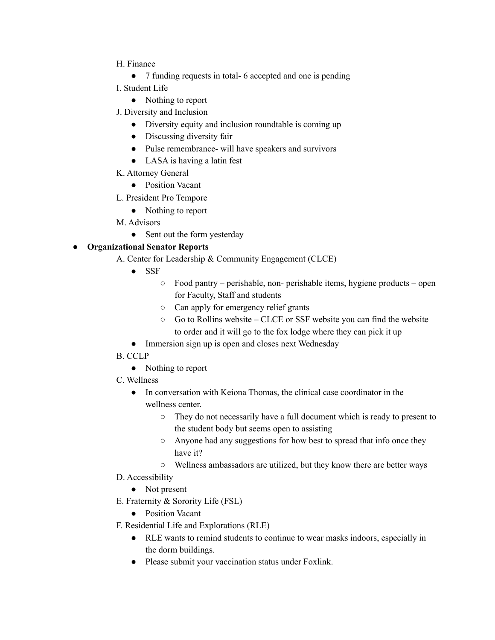- H. Finance
	- 7 funding requests in total- 6 accepted and one is pending
- I. Student Life
	- Nothing to report
- J. Diversity and Inclusion
	- Diversity equity and inclusion roundtable is coming up
	- Discussing diversity fair
	- Pulse remembrance- will have speakers and survivors
	- LASA is having a latin fest
- K. Attorney General
	- Position Vacant
- L. President Pro Tempore
	- Nothing to report
- M. Advisors
	- Sent out the form yesterday

# **● Organizational Senator Reports**

- A. Center for Leadership & Community Engagement (CLCE)
	- SSF
		- Food pantry perishable, non- perishable items, hygiene products open for Faculty, Staff and students
		- Can apply for emergency relief grants
		- Go to Rollins website CLCE or SSF website you can find the website to order and it will go to the fox lodge where they can pick it up
	- Immersion sign up is open and closes next Wednesday
- B. CCLP
	- Nothing to report
- C. Wellness
	- In conversation with Keiona Thomas, the clinical case coordinator in the wellness center.
		- They do not necessarily have a full document which is ready to present to the student body but seems open to assisting
		- Anyone had any suggestions for how best to spread that info once they have it?
		- Wellness ambassadors are utilized, but they know there are better ways
- D. Accessibility
	- Not present
- E. Fraternity & Sorority Life (FSL)
	- Position Vacant
- F. Residential Life and Explorations (RLE)
	- RLE wants to remind students to continue to wear masks indoors, especially in the dorm buildings.
	- Please submit your vaccination status under Foxlink.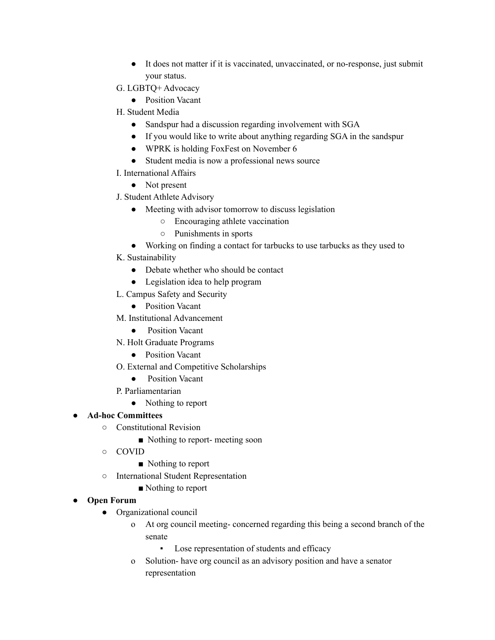- It does not matter if it is vaccinated, unvaccinated, or no-response, just submit your status.
- G. LGBTQ+ Advocacy
	- Position Vacant
- H. Student Media
	- Sandspur had a discussion regarding involvement with SGA
	- If you would like to write about anything regarding SGA in the sandspur
	- WPRK is holding FoxFest on November 6
	- Student media is now a professional news source
- I. International Affairs

• Not present

- J. Student Athlete Advisory
	- Meeting with advisor tomorrow to discuss legislation
		- Encouraging athlete vaccination
		- Punishments in sports
	- Working on finding a contact for tarbucks to use tarbucks as they used to
- K. Sustainability
	- Debate whether who should be contact
	- Legislation idea to help program
- L. Campus Safety and Security
	- Position Vacant
- M. Institutional Advancement
	- Position Vacant
- N. Holt Graduate Programs
	- Position Vacant
- O. External and Competitive Scholarships
	- Position Vacant
- P. Parliamentarian
	- Nothing to report

# **● Ad-hoc Committees**

- Constitutional Revision
	- Nothing to report- meeting soon
- COVID
	- Nothing to report
- International Student Representation
	- Nothing to report

## **● Open Forum**

- Organizational council
	- o At org council meeting- concerned regarding this being a second branch of the senate
		- Lose representation of students and efficacy
	- o Solution- have org council as an advisory position and have a senator representation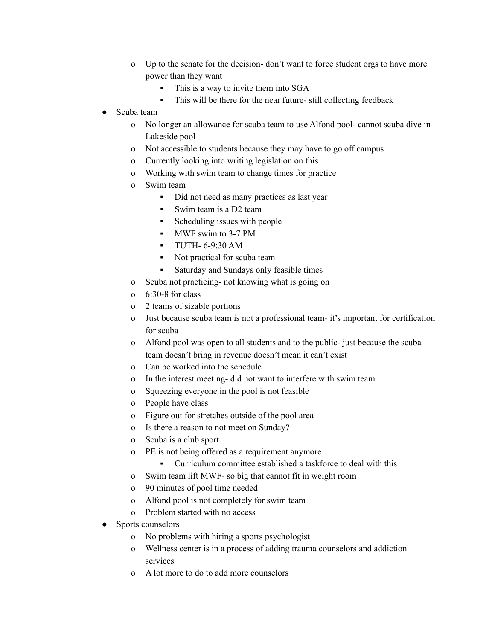- o Up to the senate for the decision- don't want to force student orgs to have more power than they want
	- This is a way to invite them into SGA
	- This will be there for the near future- still collecting feedback
- Scuba team
	- o No longer an allowance for scuba team to use Alfond pool- cannot scuba dive in Lakeside pool
	- o Not accessible to students because they may have to go off campus
	- o Currently looking into writing legislation on this
	- o Working with swim team to change times for practice
	- o Swim team
		- Did not need as many practices as last year
		- Swim team is a D2 team
		- Scheduling issues with people
		- MWF swim to 3-7 PM
		- TUTH- 6-9:30 AM
		- Not practical for scuba team
		- Saturday and Sundays only feasible times
	- o Scuba not practicing- not knowing what is going on
	- o 6:30-8 for class
	- o 2 teams of sizable portions
	- o Just because scuba team is not a professional team- it's important for certification for scuba
	- o Alfond pool was open to all students and to the public- just because the scuba team doesn't bring in revenue doesn't mean it can't exist
	- o Can be worked into the schedule
	- o In the interest meeting- did not want to interfere with swim team
	- o Squeezing everyone in the pool is not feasible
	- o People have class
	- o Figure out for stretches outside of the pool area
	- o Is there a reason to not meet on Sunday?
	- o Scuba is a club sport
	- o PE is not being offered as a requirement anymore
		- Curriculum committee established a taskforce to deal with this
	- o Swim team lift MWF- so big that cannot fit in weight room
	- o 90 minutes of pool time needed
	- o Alfond pool is not completely for swim team
	- o Problem started with no access
- Sports counselors
	- o No problems with hiring a sports psychologist
	- o Wellness center is in a process of adding trauma counselors and addiction services
	- o A lot more to do to add more counselors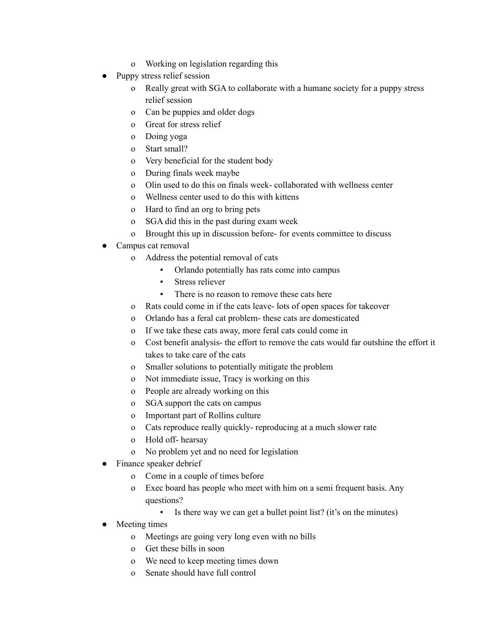- o Working on legislation regarding this
- Puppy stress relief session
	- o Really great with SGA to collaborate with a humane society for a puppy stress relief session
	- o Can be puppies and older dogs
	- o Great for stress relief
	- o Doing yoga
	- o Start small?
	- o Very beneficial for the student body
	- o During finals week maybe
	- o Olin used to do this on finals week- collaborated with wellness center
	- o Wellness center used to do this with kittens
	- o Hard to find an org to bring pets
	- o SGA did this in the past during exam week
	- o Brought this up in discussion before- for events committee to discuss
- Campus cat removal
	- o Address the potential removal of cats
		- Orlando potentially has rats come into campus
		- Stress reliever
		- **•** There is no reason to remove these cats here
	- o Rats could come in if the cats leave- lots of open spaces for takeover
	- o Orlando has a feral cat problem- these cats are domesticated
	- o If we take these cats away, more feral cats could come in
	- o Cost benefit analysis- the effort to remove the cats would far outshine the effort it takes to take care of the cats
	- o Smaller solutions to potentially mitigate the problem
	- o Not immediate issue, Tracy is working on this
	- o People are already working on this
	- o SGA support the cats on campus
	- o Important part of Rollins culture
	- o Cats reproduce really quickly- reproducing at a much slower rate
	- o Hold off- hearsay
	- o No problem yet and no need for legislation
- Finance speaker debrief
	- o Come in a couple of times before
	- o Exec board has people who meet with him on a semi frequent basis. Any questions?
		- Is there way we can get a bullet point list? (it's on the minutes)
- Meeting times
	- o Meetings are going very long even with no bills
	- o Get these bills in soon
	- o We need to keep meeting times down
	- o Senate should have full control